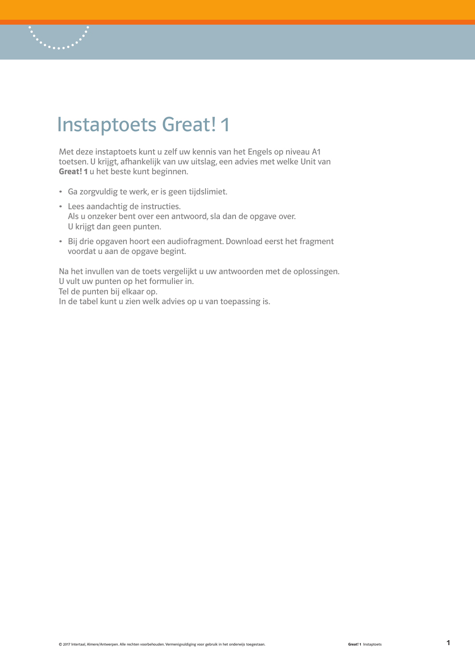# Instaptoets Great! 1

Met deze instaptoets kunt u zelf uw kennis van het Engels op niveau A1 toetsen. U krijgt, afhankelijk van uw uitslag, een advies met welke Unit van Great! 1 u het beste kunt beginnen.

- Ga zorgvuldig te werk, er is geen tijdslimiet.
- Lees aandachtig de instructies. Als u onzeker bent over een antwoord, sla dan de opgave over. U krijgt dan geen punten.
- Bij drie opgaven hoort een audiofragment. Download eerst het fragment voordat u aan de opgave begint.

Na het invullen van de toets vergelijkt u uw antwoorden met de oplossingen. U vult uw punten op het formulier in. Tel de punten bij elkaar op. In de tabel kunt u zien welk advies op u van toepassing is.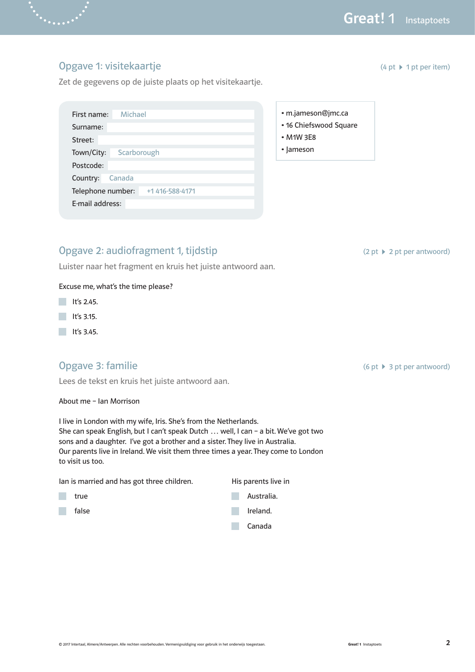$(4 \text{ pt} \cdot 1 \text{ pt} \cdot \text{ per item})$ 

### Opgave 1: visitekaartje

Zet de gegevens op de juiste plaats op het visitekaartje.

| First name:                          | Michael     |  |  |  |  |
|--------------------------------------|-------------|--|--|--|--|
| Surname:                             |             |  |  |  |  |
| Street:                              |             |  |  |  |  |
| Town/City:                           | Scarborough |  |  |  |  |
| Postcode:                            |             |  |  |  |  |
| Country:                             | Canada      |  |  |  |  |
| Telephone number:<br>+1 416-588-4171 |             |  |  |  |  |
| E-mail address:                      |             |  |  |  |  |

### Opgave 2: audiofragment 1, tijdstip

Luister naar het fragment en kruis het juiste antwoord aan.

### Excuse me, what's the time please?

- $\blacksquare$  It's 2.45.
- $\blacksquare$  It's 3.15.
- $\blacksquare$  It's 3.45.

### Opgave 3: familie

Lees de tekst en kruis het juiste antwoord aan.

About me – Ian Morrison

I live in London with my wife, Iris. She's from the Netherlands. She can speak English, but I can't speak Dutch … well, I can – a bit. We've got two sons and a daughter. I've got a brother and a sister. They live in Australia. Our parents live in Ireland. We visit them three times a year. They come to London to visit us too.

Ian is married and has got three children. His parents live in

- $\mathcal{L}^{\mathcal{L}}$
- 





### • m.jameson@jmc.ca

- 16 Chiefswood Square
- M1W 3E8
- Jameson

 $(2 pt \rightharpoonup 2 pt$  per antwoord)

 $(6 \text{ pt} \rightarrow 3 \text{ pt} \text{ per} \text{ antwoord})$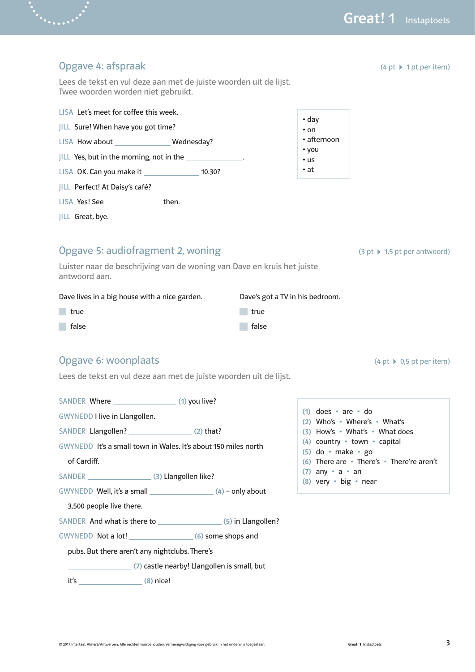Great! 1 Instaptoets

| Opgave 4: afspraak                                                                                      | $(4 \text{ pt} \geq 1 \text{ pt} \text{ per item})$                      |
|---------------------------------------------------------------------------------------------------------|--------------------------------------------------------------------------|
| Lees de tekst en vul deze aan met de juiste woorden uit de lijst.<br>Twee woorden worden niet gebruikt. |                                                                          |
| LISA Let's meet for coffee this week.                                                                   |                                                                          |
| JILL Sure! When have you got time?                                                                      | $\bullet$ day<br>$\cdot$ on                                              |
| LISA How about __________________ Wednesday?                                                            | • afternoon                                                              |
| JILL Yes, but in the morning, not in the ______________.                                                | • you<br>$\cdot$ us                                                      |
| LISA OK. Can you make it ______________________ 10.30?                                                  | • at                                                                     |
| JILL Perfect! At Daisy's café?                                                                          |                                                                          |
| LISA Yes! See __________________then.                                                                   |                                                                          |
| JILL Great, bye.                                                                                        |                                                                          |
| Opgave 5: audiofragment 2, woning                                                                       | $(3 \text{ pt} \rightarrow 1,5 \text{ pt} \text{ per} \text{ antwoord})$ |
| Luister naar de beschrijving van de woning van Dave en kruis het juiste<br>antwoord aan.                |                                                                          |
| Dave lives in a big house with a nice garden.                                                           | Dave's got a TV in his bedroom.                                          |
| true<br>true                                                                                            |                                                                          |
| false<br>false                                                                                          |                                                                          |
| Opgave 6: woonplaats                                                                                    | $(4 \text{ pt} \rightarrow 0.5 \text{ pt} \text{ per item})$             |
| Lees de tekst en vul deze aan met de juiste woorden uit de lijst.                                       |                                                                          |
|                                                                                                         |                                                                          |
| <b>GWYNEDD I live in Llangollen.</b>                                                                    | $(1)$ does $\cdot$ are $\cdot$ do<br>(2) Who's . Where's . What's        |
| SANDER Llangollen? (2) that?                                                                            | (3) How's • What's • What does                                           |
| GWYNEDD It's a small town in Wales. It's about 150 miles north                                          | (4) country • town • capital<br>$(5)$ do $\cdot$ make $\cdot$ go         |
| of Cardiff.                                                                                             | (6) There are • There's • There're aren't                                |
| SANDER (3) Llangollen like?                                                                             | $(7)$ any $\cdot$ a $\cdot$ an                                           |
|                                                                                                         | (8) very • big • near                                                    |
| 3,500 people live there.                                                                                |                                                                          |
|                                                                                                         |                                                                          |
|                                                                                                         |                                                                          |
| pubs. But there aren't any nightclubs. There's                                                          |                                                                          |

(7) castle nearby! Llangollen is small, but

 $its$  (8) nice!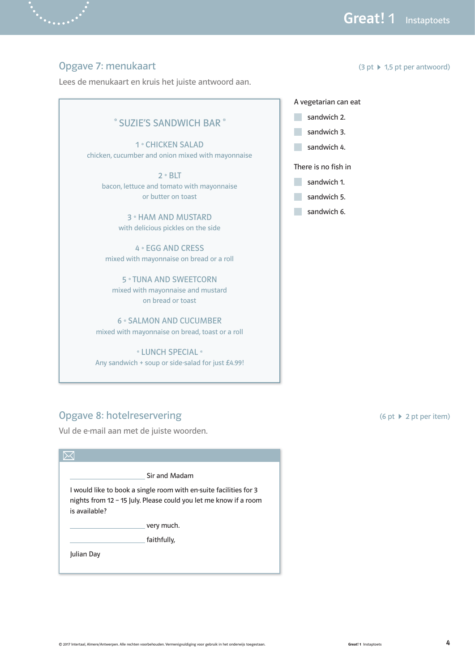$(3 pt \rightarrow 1,5 pt per antwoord)$ 

### Opgave 7: menukaart

Lees de menukaart en kruis het juiste antwoord aan.

### \* SUZIE'S SANDWICH BAR \*

1 \* CHICKEN SALAD chicken, cucumber and onion mixed with mayonnaise

 $2 * BLT$ bacon, lettuce and tomato with mayonnaise or butter on toast

> 3 \* HAM AND MUSTARD with delicious pickles on the side

4 \* EGG AND CRESS mixed with mayonnaise on bread or a roll

5 \* TUNA AND SWEETCORN mixed with mayonnaise and mustard on bread or toast

6 \* SALMON AND CUCUMBER mixed with mayonnaise on bread, toast or a roll

\* LUNCH SPECIAL \* Any sandwich + soup or side-salad for just  $£4.99!$ 

# A vegetarian can eat

- sandwich 2.
- sandwich 3.
- sandwich 4.

There is no fish in

- sandwich 1.
- sandwich 5.
- sandwich 6.

### Opgave 8: hotelreservering

Vul de e-mail aan met de juiste woorden.

|               | Sir and Madam                                                                                                                         |
|---------------|---------------------------------------------------------------------------------------------------------------------------------------|
| is available? | I would like to book a single room with en-suite facilities for 3<br>nights from 12 - 15 July. Please could you let me know if a room |
|               | very much.                                                                                                                            |
|               | faithfully,                                                                                                                           |
|               |                                                                                                                                       |

(6 pt  $\blacktriangleright$  2 pt per item)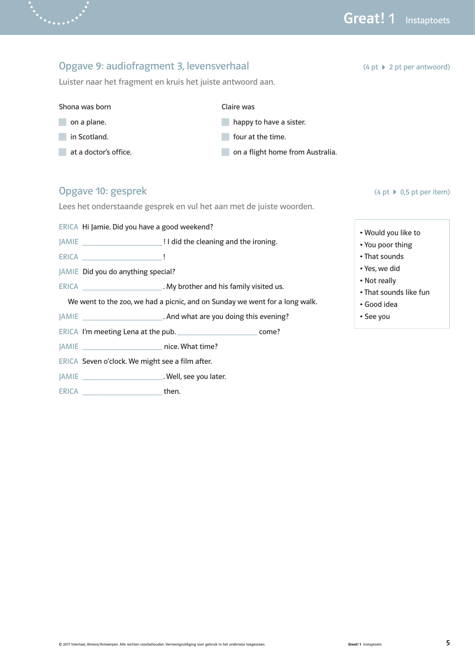### Opgave 9: audiofragment 3, levensverhaal Luister naar het fragment en kruis het juiste antwoord aan.  $(4 pt \rightarrow 2 pt per antwoord)$ Shona was born on a plane. in Scotland. at a doctor's office. Claire was **happy to have a sister. four at the time.** on a flight home from Australia. Opgave 10: gesprek Lees het onderstaande gesprek en vul het aan met de juiste woorden. ERICA Hi Jamie. Did you have a good weekend? JAMIE ! I did the cleaning and the ironing. ERICA **!!!** JAMIE Did you do anything special? ERICA \_\_\_\_\_\_\_\_\_\_\_\_\_\_\_\_\_\_\_\_\_\_\_\_\_. My brother and his family visited us. We went to the zoo, we had a picnic, and on Sunday we went for a long walk. JAMIE . And what are you doing this evening? ERICA I'm meeting Lena at the pub. \_\_\_\_\_\_\_\_\_\_\_\_\_\_\_\_\_\_\_\_\_\_\_\_\_\_\_\_ come? JAMIE nice. What time? ERICA Seven o'clock. We might see a film after.  $(4 \text{ pt} \rightarrow 0.5 \text{ pt} \text{ per item})$ • Would you like to • You poor thing • That sounds • Yes, we did • Not really • That sounds like fun • Good idea • See you

JAMIE . Well, see you later.

ERICA then.

 $\ddot{\cdot}$  . . . . .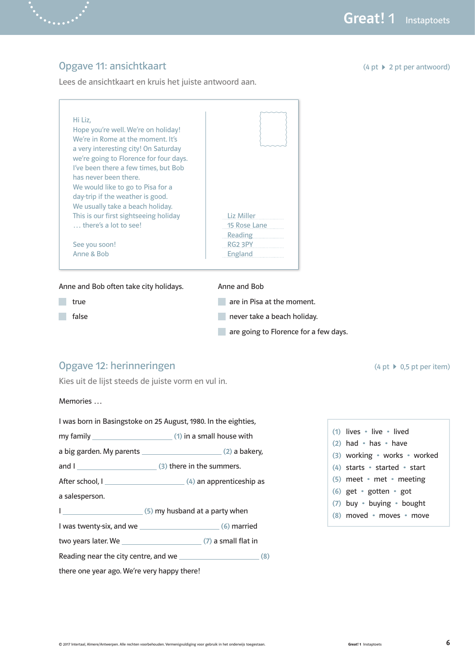### Opgave 11: ansichtkaart

Lees de ansichtkaart en kruis het juiste antwoord aan.

 $(4 pt \rightarrow 2 pt per antwoord)$ 

| Hi Liz,                                |                |
|----------------------------------------|----------------|
| Hope you're well. We're on holiday!    |                |
| We're in Rome at the moment. It's      |                |
| a very interesting city! On Saturday   |                |
| we're going to Florence for four days. |                |
| I've been there a few times, but Bob   |                |
| has never been there.                  |                |
| We would like to go to Pisa for a      |                |
| day-trip if the weather is good.       |                |
| We usually take a beach holiday.       |                |
| This is our first sightseeing holiday  | Liz Miller     |
| $\ldots$ there's a lot to see!         | 15 Rose Lane   |
|                                        | <b>Reading</b> |
| See you soon!                          | RG2 3PY        |
| Anne & Bob                             | England        |

Anne and Bob often take city holidays.

**true** 

false

- Anne and Bob
- **are in Pisa at the moment.**
- **never take a beach holiday.**
- **are going to Florence for a few days.**

## Opgave 12: herinneringen

Kies uit de lijst steeds de juiste vorm en vul in.

Memories …

|                                             | I was born in Basingstoke on 25 August, 1980. In the eighties, |  |  |  |  |
|---------------------------------------------|----------------------------------------------------------------|--|--|--|--|
|                                             | my family $\sqrt{\frac{1}{100}}$ (1) in a small house with     |  |  |  |  |
|                                             |                                                                |  |  |  |  |
|                                             |                                                                |  |  |  |  |
|                                             |                                                                |  |  |  |  |
| a salesperson.                              |                                                                |  |  |  |  |
|                                             |                                                                |  |  |  |  |
|                                             |                                                                |  |  |  |  |
|                                             |                                                                |  |  |  |  |
|                                             |                                                                |  |  |  |  |
| there one year ago. We're very happy there! |                                                                |  |  |  |  |

| $(1)$ lives $\cdot$ live $\cdot$ lived |
|----------------------------------------|
| $(2)$ had $\cdot$ has $\cdot$ have     |
| (3) working • works • worked           |
| $(4)$ starts • started • start         |
| $(5)$ meet $\cdot$ met $\cdot$ meeting |
| (6) get $\cdot$ gotten $\cdot$ got     |
| (7) buy · buying · bought              |
| (8) moved • moves • move               |
|                                        |

 $(4 \text{ pt} \rightarrow 0.5 \text{ pt} \text{ per item})$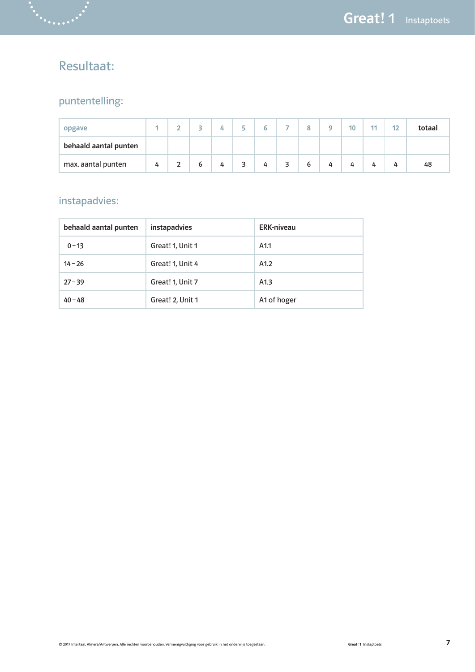# Resultaat:

# puntentelling:

| opgave                |   | - |   |   | ÷                            | G | -                       | Q | ۰ | 10 | 11 | 12 | totaal |
|-----------------------|---|---|---|---|------------------------------|---|-------------------------|---|---|----|----|----|--------|
| behaald aantal punten |   |   |   |   |                              |   |                         |   |   |    |    |    |        |
| max. aantal punten    | 4 | ∼ | 6 | 4 | $\overline{\mathbf{z}}$<br>ر | 4 | $\overline{\mathbf{z}}$ | 6 | 4 | 4  | 4  | 4  | 48     |

# instapadvies:

| behaald aantal punten | <b>instapadvies</b> | <b>ERK-niveau</b> |  |  |  |
|-----------------------|---------------------|-------------------|--|--|--|
| $0 - 13$              | Great! 1, Unit 1    | A <sub>1.1</sub>  |  |  |  |
| $14 - 26$             | Great! 1, Unit 4    | A1.2              |  |  |  |
| $27 - 39$             | Great! 1, Unit 7    | A1.3              |  |  |  |
| $40 - 48$             | Great! 2, Unit 1    | A1 of hoger       |  |  |  |